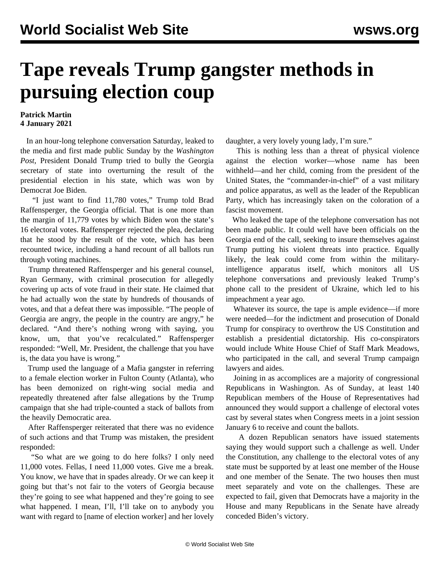## **Tape reveals Trump gangster methods in pursuing election coup**

## **Patrick Martin 4 January 2021**

 In an hour-long telephone conversation Saturday, leaked to the media and first made public Sunday by the *Washington Post*, President Donald Trump tried to bully the Georgia secretary of state into overturning the result of the presidential election in his state, which was won by Democrat Joe Biden.

 "I just want to find 11,780 votes," Trump told Brad Raffensperger, the Georgia official. That is one more than the margin of 11,779 votes by which Biden won the state's 16 electoral votes. Raffensperger rejected the plea, declaring that he stood by the result of the vote, which has been recounted twice, including a hand recount of all ballots run through voting machines.

 Trump threatened Raffensperger and his general counsel, Ryan Germany, with criminal prosecution for allegedly covering up acts of vote fraud in their state. He claimed that he had actually won the state by hundreds of thousands of votes, and that a defeat there was impossible. "The people of Georgia are angry, the people in the country are angry," he declared. "And there's nothing wrong with saying, you know, um, that you've recalculated." Raffensperger responded: "Well, Mr. President, the challenge that you have is, the data you have is wrong."

 Trump used the language of a Mafia gangster in referring to a female election worker in Fulton County (Atlanta), who has been demonized on right-wing social media and repeatedly threatened after false allegations by the Trump campaign that she had triple-counted a stack of ballots from the heavily Democratic area.

 After Raffensperger reiterated that there was no evidence of such actions and that Trump was mistaken, the president responded:

 "So what are we going to do here folks? I only need 11,000 votes. Fellas, I need 11,000 votes. Give me a break. You know, we have that in spades already. Or we can keep it going but that's not fair to the voters of Georgia because they're going to see what happened and they're going to see what happened. I mean, I'll, I'll take on to anybody you want with regard to [name of election worker] and her lovely

daughter, a very lovely young lady, I'm sure."

 This is nothing less than a threat of physical violence against the election worker—whose name has been withheld—and her child, coming from the president of the United States, the "commander-in-chief" of a vast military and police apparatus, as well as the leader of the Republican Party, which has increasingly taken on the coloration of a fascist movement.

 Who leaked the tape of the telephone conversation has not been made public. It could well have been officials on the Georgia end of the call, seeking to insure themselves against Trump putting his violent threats into practice. Equally likely, the leak could come from within the militaryintelligence apparatus itself, which monitors all US telephone conversations and previously leaked Trump's phone call to the president of Ukraine, which led to his impeachment a year ago.

 Whatever its source, the tape is ample evidence—if more were needed—for the indictment and prosecution of Donald Trump for conspiracy to overthrow the US Constitution and establish a presidential dictatorship. His co-conspirators would include White House Chief of Staff Mark Meadows, who participated in the call, and several Trump campaign lawyers and aides.

 Joining in as accomplices are a majority of congressional Republicans in Washington. As of Sunday, at least 140 Republican members of the House of Representatives had announced they would support a challenge of electoral votes cast by several states when Congress meets in a joint session January 6 to receive and count the ballots.

 A dozen Republican senators have issued statements saying they would support such a challenge as well. Under the Constitution, any challenge to the electoral votes of any state must be supported by at least one member of the House and one member of the Senate. The two houses then must meet separately and vote on the challenges. These are expected to fail, given that Democrats have a majority in the House and many Republicans in the Senate have already conceded Biden's victory.